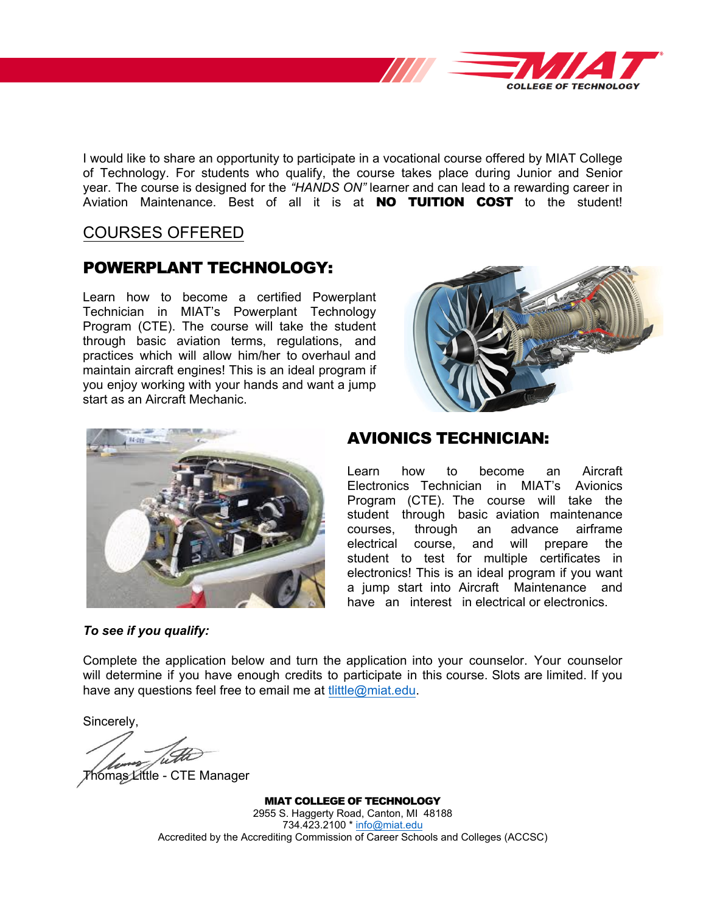

I would like to share an opportunity to participate in a vocational course offered by MIAT College of Technology. For students who qualify, the course takes place during Junior and Senior year. The course is designed for the *"HANDS ON"* learner and can lead to a rewarding career in Aviation Maintenance. Best of all it is at **NO TUITION COST** to the student!

# COURSES OFFERED

# POWERPLANT TECHNOLOGY:

Learn how to become a certified Powerplant Technician in MIAT's Powerplant Technology Program (CTE). The course will take the student through basic aviation terms, regulations, and practices which will allow him/her to overhaul and maintain aircraft engines! This is an ideal program if you enjoy working with your hands and want a jump start as an Aircraft Mechanic.





#### *To see if you qualify:*

### AVIONICS TECHNICIAN:

Learn how to become an Aircraft Electronics Technician in MIAT's Avionics Program (CTE). The course will take the student through basic aviation maintenance courses, through an advance airframe electrical course, and will prepare the student to test for multiple certificates in electronics! This is an ideal program if you want a jump start into Aircraft Maintenance and have an interest in electrical or electronics.

Complete the application below and turn the application into your counselor. Your counselor will determine if you have enough credits to participate in this course. Slots are limited. If you have any questions feel free to email me at *tlittle@miat.edu.* 

Sincerely,

Thomas Little - CTE Manager

MIAT COLLEGE OF TECHNOLOGY 2955 S. Haggerty Road, Canton, MI 48188 734.423.2100 [\\* info@miat.edu](mailto:info@miat.edu) Accredited by the Accrediting Commission of Career Schools and Colleges (ACCSC)